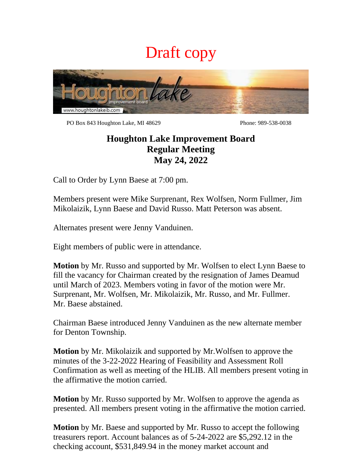## Draft copy



PO Box 843 Houghton Lake, MI 48629 Phone: 989-538-0038

## **Houghton Lake Improvement Board Regular Meeting May 24, 2022**

Call to Order by Lynn Baese at 7:00 pm.

Members present were Mike Surprenant, Rex Wolfsen, Norm Fullmer, Jim Mikolaizik, Lynn Baese and David Russo. Matt Peterson was absent.

Alternates present were Jenny Vanduinen.

Eight members of public were in attendance.

**Motion** by Mr. Russo and supported by Mr. Wolfsen to elect Lynn Baese to fill the vacancy for Chairman created by the resignation of James Deamud until March of 2023. Members voting in favor of the motion were Mr. Surprenant, Mr. Wolfsen, Mr. Mikolaizik, Mr. Russo, and Mr. Fullmer. Mr. Baese abstained.

Chairman Baese introduced Jenny Vanduinen as the new alternate member for Denton Township.

**Motion** by Mr. Mikolaizik and supported by Mr.Wolfsen to approve the minutes of the 3-22-2022 Hearing of Feasibility and Assessment Roll Confirmation as well as meeting of the HLIB. All members present voting in the affirmative the motion carried.

**Motion** by Mr. Russo supported by Mr. Wolfsen to approve the agenda as presented. All members present voting in the affirmative the motion carried.

**Motion** by Mr. Baese and supported by Mr. Russo to accept the following treasurers report. Account balances as of 5-24-2022 are \$5,292.12 in the checking account, \$531,849.94 in the money market account and